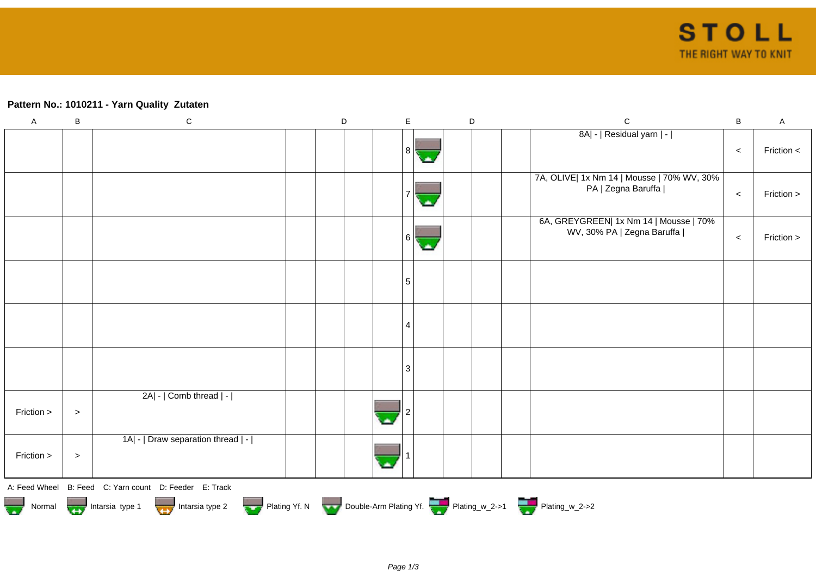## **Pattern No.: 1010211 - Yarn Quality Zutaten**

| $\mathsf A$                                                                      | $\sf B$ | ${\bf C}$                                              | $\mathsf D$ |  | E  | $\mathsf D$ |  | $\mathsf C$                                                          | $\sf B$ | $\boldsymbol{\mathsf{A}}$ |  |
|----------------------------------------------------------------------------------|---------|--------------------------------------------------------|-------------|--|----|-------------|--|----------------------------------------------------------------------|---------|---------------------------|--|
|                                                                                  |         |                                                        |             |  | 8  |             |  | 8A  -   Residual yarn   -                                            | $\prec$ | Friction <                |  |
|                                                                                  |         |                                                        |             |  |    |             |  | 7A, OLIVE  1x Nm 14   Mousse   70% WV, 30%<br>PA   Zegna Baruffa     | $\prec$ | Friction >                |  |
|                                                                                  |         |                                                        |             |  | 6. |             |  | 6A, GREYGREEN  1x Nm 14   Mousse   70%<br>WV, 30% PA   Zegna Baruffa | $\prec$ | Friction >                |  |
|                                                                                  |         |                                                        |             |  | 5  |             |  |                                                                      |         |                           |  |
|                                                                                  |         |                                                        |             |  | 4  |             |  |                                                                      |         |                           |  |
|                                                                                  |         |                                                        |             |  | 3  |             |  |                                                                      |         |                           |  |
| Friction >                                                                       | $\, >$  | 2A  -   Comb thread   -                                |             |  |    |             |  |                                                                      |         |                           |  |
| Friction >                                                                       | $\, >$  | 1A  -   Draw separation thread   -                     |             |  |    |             |  |                                                                      |         |                           |  |
|                                                                                  |         | A: Feed Wheel B: Feed C: Yarn count D: Feeder E: Track |             |  |    |             |  |                                                                      |         |                           |  |
| Normal 1999 Intarsia type 1 Intarsia type 2 Plating Yf. N Double-Arm Plating Yf. |         |                                                        |             |  |    |             |  |                                                                      |         |                           |  |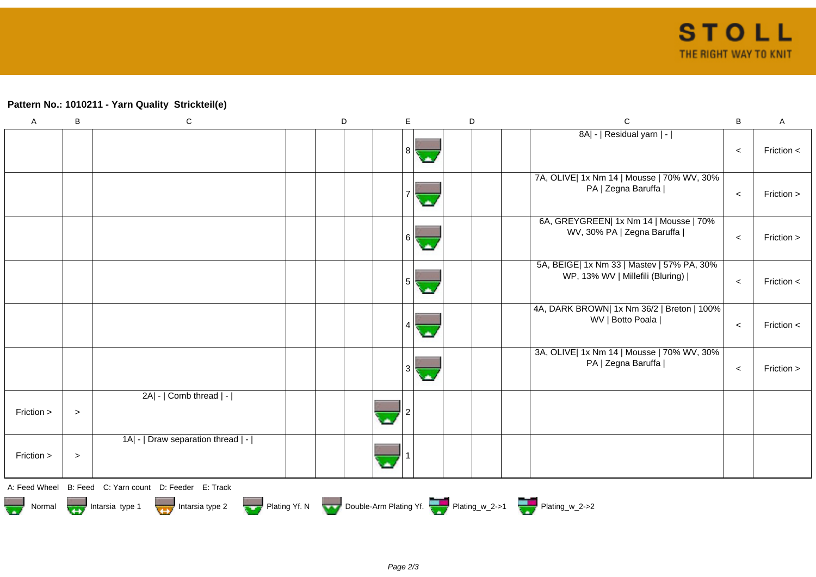## **Pattern No.: 1010211 - Yarn Quality Strickteil(e)**

| $\boldsymbol{\mathsf{A}}$                                                                                    | B     | ${\bf C}$                                              | D |  | E. |  | D |  | $\mathsf{C}$                                                                   | $\, {\bf B}$ | A              |
|--------------------------------------------------------------------------------------------------------------|-------|--------------------------------------------------------|---|--|----|--|---|--|--------------------------------------------------------------------------------|--------------|----------------|
|                                                                                                              |       |                                                        |   |  | 8  |  |   |  | 8A  -   Residual yarn   -                                                      | $\,<$        | Friction <     |
|                                                                                                              |       |                                                        |   |  |    |  |   |  | 7A, OLIVE  1x Nm 14   Mousse   70% WV, 30%<br>PA   Zegna Baruffa               | $\,<\,$      | Friction >     |
|                                                                                                              |       |                                                        |   |  | 6  |  |   |  | 6A, GREYGREEN  1x Nm 14   Mousse   70%<br>WV, 30% PA   Zegna Baruffa           | $\prec$      | Friction >     |
|                                                                                                              |       |                                                        |   |  | 5  |  |   |  | 5A, BEIGE  1x Nm 33   Mastev   57% PA, 30%<br>WP, 13% WV   Millefili (Bluring) | $\prec$      | Friction $\lt$ |
|                                                                                                              |       |                                                        |   |  |    |  |   |  | 4A, DARK BROWN  1x Nm 36/2   Breton   100%<br>WV   Botto Poala                 | $\prec$      | Friction <     |
|                                                                                                              |       |                                                        |   |  | 3  |  |   |  | 3A, OLIVE  1x Nm 14   Mousse   70% WV, 30%<br>PA   Zegna Baruffa               | $\prec$      | Friction >     |
| Friction >                                                                                                   | $\,>$ | 2A  -   Comb thread   -                                |   |  |    |  |   |  |                                                                                |              |                |
| Friction >                                                                                                   | $\,>$ | 1A   -   Draw separation thread   -                    |   |  |    |  |   |  |                                                                                |              |                |
|                                                                                                              |       | A: Feed Wheel B: Feed C: Yarn count D: Feeder E: Track |   |  |    |  |   |  |                                                                                |              |                |
| Intarsia type 1 Intarsia type 2 Plating Yf. N Double-Arm Plating Yf. Plating_w_2->1 Plating_w_2->2<br>Normal |       |                                                        |   |  |    |  |   |  |                                                                                |              |                |